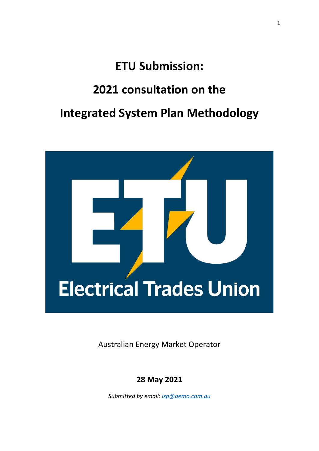# **ETU Submission:**

### **2021 consultation on the**

## **Integrated System Plan Methodology**



Australian Energy Market Operator

**28 May 2021**

*Submitted by email: [isp@aemo.com.au](mailto:isp@aemo.com.au)*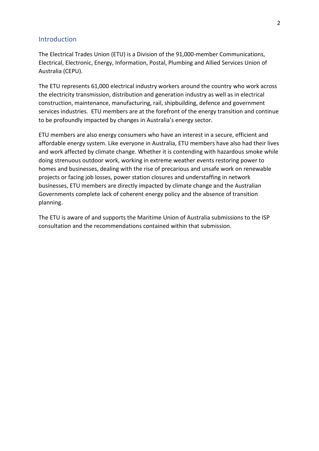#### **Introduction**

The Electrical Trades Union (ETU) is a Division of the 91,000-member Communications, Electrical, Electronic, Energy, Information, Postal, Plumbing and Allied Services Union of Australia (CEPU).

The ETU represents 61,000 electrical industry workers around the country who work across the electricity transmission, distribution and generation industry as well as in electrical construction, maintenance, manufacturing, rail, shipbuilding, defence and government services industries. ETU members are at the forefront of the energy transition and continue to be profoundly impacted by changes in Australia's energy sector.

ETU members are also energy consumers who have an interest in a secure, efficient and affordable energy system. Like everyone in Australia, ETU members have also had their lives and work affected by climate change. Whether it is contending with hazardous smoke while doing strenuous outdoor work, working in extreme weather events restoring power to homes and businesses, dealing with the rise of precarious and unsafe work on renewable projects or facing job losses, power station closures and understaffing in network businesses, ETU members are directly impacted by climate change and the Australian Governments complete lack of coherent energy policy and the absence of transition planning.

The ETU is aware of and supports the Maritime Union of Australia submissions to the ISP consultation and the recommendations contained within that submission.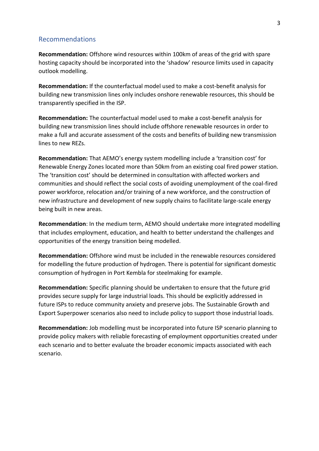#### Recommendations

**Recommendation:** Offshore wind resources within 100km of areas of the grid with spare hosting capacity should be incorporated into the 'shadow' resource limits used in capacity outlook modelling.

**Recommendation:** If the counterfactual model used to make a cost-benefit analysis for building new transmission lines only includes onshore renewable resources, this should be transparently specified in the ISP.

**Recommendation:** The counterfactual model used to make a cost-benefit analysis for building new transmission lines should include offshore renewable resources in order to make a full and accurate assessment of the costs and benefits of building new transmission lines to new REZs.

**Recommendation:** That AEMO's energy system modelling include a 'transition cost' for Renewable Energy Zones located more than 50km from an existing coal fired power station. The 'transition cost' should be determined in consultation with affected workers and communities and should reflect the social costs of avoiding unemployment of the coal-fired power workforce, relocation and/or training of a new workforce, and the construction of new infrastructure and development of new supply chains to facilitate large-scale energy being built in new areas.

**Recommendation**: In the medium term, AEMO should undertake more integrated modelling that includes employment, education, and health to better understand the challenges and opportunities of the energy transition being modelled.

**Recommendation:** Offshore wind must be included in the renewable resources considered for modelling the future production of hydrogen. There is potential for significant domestic consumption of hydrogen in Port Kembla for steelmaking for example.

**Recommendation:** Specific planning should be undertaken to ensure that the future grid provides secure supply for large industrial loads. This should be explicitly addressed in future ISPs to reduce community anxiety and preserve jobs. The Sustainable Growth and Export Superpower scenarios also need to include policy to support those industrial loads.

**Recommendation:** Job modelling must be incorporated into future ISP scenario planning to provide policy makers with reliable forecasting of employment opportunities created under each scenario and to better evaluate the broader economic impacts associated with each scenario.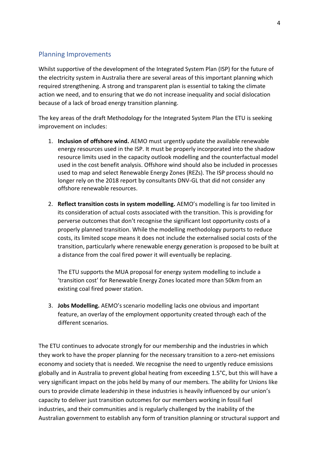### Planning Improvements

Whilst supportive of the development of the Integrated System Plan (ISP) for the future of the electricity system in Australia there are several areas of this important planning which required strengthening. A strong and transparent plan is essential to taking the climate action we need, and to ensuring that we do not increase inequality and social dislocation because of a lack of broad energy transition planning.

The key areas of the draft Methodology for the Integrated System Plan the ETU is seeking improvement on includes:

- 1. **Inclusion of offshore wind.** AEMO must urgently update the available renewable energy resources used in the ISP. It must be properly incorporated into the shadow resource limits used in the capacity outlook modelling and the counterfactual model used in the cost benefit analysis. Offshore wind should also be included in processes used to map and select Renewable Energy Zones (REZs). The ISP process should no longer rely on the 2018 report by consultants DNV-GL that did not consider any offshore renewable resources.
- 2. **Reflect transition costs in system modelling.** AEMO's modelling is far too limited in its consideration of actual costs associated with the transition. This is providing for perverse outcomes that don't recognise the significant lost opportunity costs of a properly planned transition. While the modelling methodology purports to reduce costs, its limited scope means it does not include the externalised social costs of the transition, particularly where renewable energy generation is proposed to be built at a distance from the coal fired power it will eventually be replacing.

The ETU supports the MUA proposal for energy system modelling to include a 'transition cost' for Renewable Energy Zones located more than 50km from an existing coal fired power station.

3. **Jobs Modelling.** AEMO's scenario modelling lacks one obvious and important feature, an overlay of the employment opportunity created through each of the different scenarios.

The ETU continues to advocate strongly for our membership and the industries in which they work to have the proper planning for the necessary transition to a zero-net emissions economy and society that is needed. We recognise the need to urgently reduce emissions globally and in Australia to prevent global heating from exceeding 1.5°C, but this will have a very significant impact on the jobs held by many of our members. The ability for Unions like ours to provide climate leadership in these industries is heavily influenced by our union's capacity to deliver just transition outcomes for our members working in fossil fuel industries, and their communities and is regularly challenged by the inability of the Australian government to establish any form of transition planning or structural support and